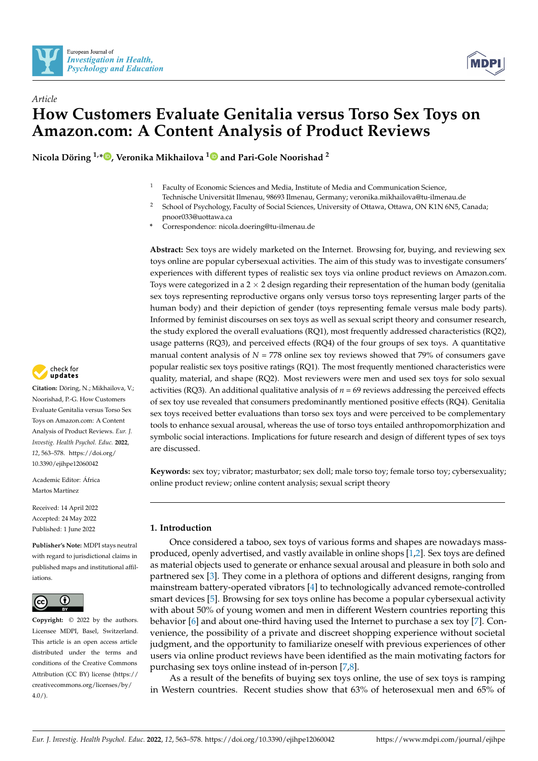



# *Article* **How Customers Evaluate Genitalia versus Torso Sex Toys on Amazon.com: A Content Analysis of Product Reviews**

**Nicola Döring 1,[\\*](https://orcid.org/0000-0003-1299-4586) , Veronika Mikhailova [1](https://orcid.org/0000-0003-4097-2923) and Pari-Gole Noorishad <sup>2</sup>**

- $1$  Faculty of Economic Sciences and Media, Institute of Media and Communication Science,
- Technische Universität Ilmenau, 98693 Ilmenau, Germany; veronika.mikhailova@tu-ilmenau.de
- <sup>2</sup> School of Psychology, Faculty of Social Sciences, University of Ottawa, Ottawa, ON K1N 6N5, Canada; pnoor033@uottawa.ca
- **\*** Correspondence: nicola.doering@tu-ilmenau.de

**Abstract:** Sex toys are widely marketed on the Internet. Browsing for, buying, and reviewing sex toys online are popular cybersexual activities. The aim of this study was to investigate consumers' experiences with different types of realistic sex toys via online product reviews on Amazon.com. Toys were categorized in a 2  $\times$  2 design regarding their representation of the human body (genitalia sex toys representing reproductive organs only versus torso toys representing larger parts of the human body) and their depiction of gender (toys representing female versus male body parts). Informed by feminist discourses on sex toys as well as sexual script theory and consumer research, the study explored the overall evaluations (RQ1), most frequently addressed characteristics (RQ2), usage patterns (RQ3), and perceived effects (RQ4) of the four groups of sex toys. A quantitative manual content analysis of  $N = 778$  online sex toy reviews showed that 79% of consumers gave popular realistic sex toys positive ratings (RQ1). The most frequently mentioned characteristics were quality, material, and shape (RQ2). Most reviewers were men and used sex toys for solo sexual activities (RQ3). An additional qualitative analysis of  $n = 69$  reviews addressing the perceived effects of sex toy use revealed that consumers predominantly mentioned positive effects (RQ4). Genitalia sex toys received better evaluations than torso sex toys and were perceived to be complementary tools to enhance sexual arousal, whereas the use of torso toys entailed anthropomorphization and symbolic social interactions. Implications for future research and design of different types of sex toys are discussed.

**Keywords:** sex toy; vibrator; masturbator; sex doll; male torso toy; female torso toy; cybersexuality; online product review; online content analysis; sexual script theory

## **1. Introduction**

Once considered a taboo, sex toys of various forms and shapes are nowadays massproduced, openly advertised, and vastly available in online shops [\[1,](#page-14-0)[2\]](#page-14-1). Sex toys are defined as material objects used to generate or enhance sexual arousal and pleasure in both solo and partnered sex [\[3\]](#page-14-2). They come in a plethora of options and different designs, ranging from mainstream battery-operated vibrators [\[4\]](#page-14-3) to technologically advanced remote-controlled smart devices [\[5\]](#page-14-4). Browsing for sex toys online has become a popular cybersexual activity with about 50% of young women and men in different Western countries reporting this behavior [\[6\]](#page-14-5) and about one-third having used the Internet to purchase a sex toy [\[7\]](#page-14-6). Convenience, the possibility of a private and discreet shopping experience without societal judgment, and the opportunity to familiarize oneself with previous experiences of other users via online product reviews have been identified as the main motivating factors for purchasing sex toys online instead of in-person [\[7](#page-14-6)[,8\]](#page-14-7).

As a result of the benefits of buying sex toys online, the use of sex toys is ramping in Western countries. Recent studies show that 63% of heterosexual men and 65% of



**Citation:** Döring, N.; Mikhailova, V.; Noorishad, P.-G. How Customers Evaluate Genitalia versus Torso Sex Toys on Amazon.com: A Content Analysis of Product Reviews. *Eur. J. Investig. Health Psychol. Educ.* **2022**, *12*, 563–578. [https://doi.org/](https://doi.org/10.3390/ejihpe12060042) [10.3390/ejihpe12060042](https://doi.org/10.3390/ejihpe12060042)

Academic Editor: África Martos Martínez

Received: 14 April 2022 Accepted: 24 May 2022 Published: 1 June 2022

**Publisher's Note:** MDPI stays neutral with regard to jurisdictional claims in published maps and institutional affiliations.



**Copyright:** © 2022 by the authors. Licensee MDPI, Basel, Switzerland. This article is an open access article distributed under the terms and conditions of the Creative Commons Attribution (CC BY) license [\(https://](https://creativecommons.org/licenses/by/4.0/) [creativecommons.org/licenses/by/](https://creativecommons.org/licenses/by/4.0/)  $4.0/$ ).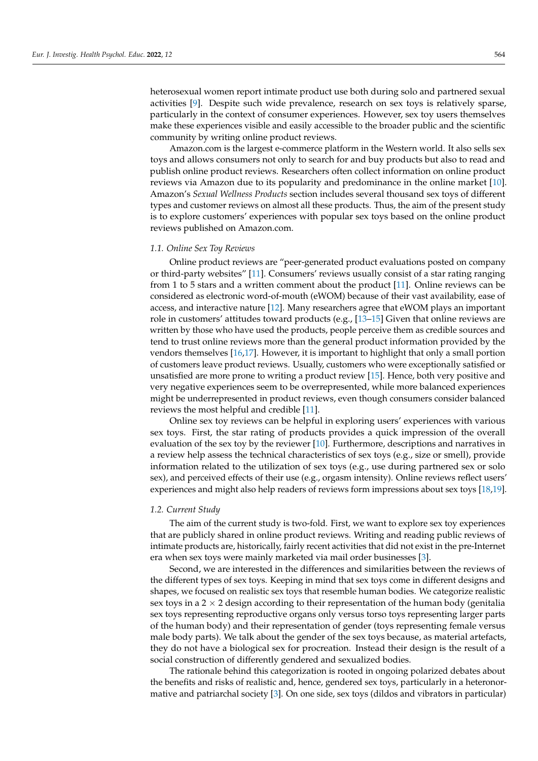heterosexual women report intimate product use both during solo and partnered sexual activities [\[9\]](#page-14-8). Despite such wide prevalence, research on sex toys is relatively sparse, particularly in the context of consumer experiences. However, sex toy users themselves make these experiences visible and easily accessible to the broader public and the scientific community by writing online product reviews.

Amazon.com is the largest e-commerce platform in the Western world. It also sells sex toys and allows consumers not only to search for and buy products but also to read and publish online product reviews. Researchers often collect information on online product reviews via Amazon due to its popularity and predominance in the online market [\[10\]](#page-14-9). Amazon's *Sexual Wellness Products* section includes several thousand sex toys of different types and customer reviews on almost all these products. Thus, the aim of the present study is to explore customers' experiences with popular sex toys based on the online product reviews published on Amazon.com.

#### *1.1. Online Sex Toy Reviews*

Online product reviews are "peer-generated product evaluations posted on company or third-party websites" [\[11\]](#page-14-10). Consumers' reviews usually consist of a star rating ranging from 1 to 5 stars and a written comment about the product [\[11\]](#page-14-10). Online reviews can be considered as electronic word-of-mouth (eWOM) because of their vast availability, ease of access, and interactive nature [\[12\]](#page-14-11). Many researchers agree that eWOM plays an important role in customers' attitudes toward products (e.g., [\[13](#page-14-12)[–15\]](#page-14-13) Given that online reviews are written by those who have used the products, people perceive them as credible sources and tend to trust online reviews more than the general product information provided by the vendors themselves [\[16,](#page-14-14)[17\]](#page-14-15). However, it is important to highlight that only a small portion of customers leave product reviews. Usually, customers who were exceptionally satisfied or unsatisfied are more prone to writing a product review [\[15\]](#page-14-13). Hence, both very positive and very negative experiences seem to be overrepresented, while more balanced experiences might be underrepresented in product reviews, even though consumers consider balanced reviews the most helpful and credible [\[11\]](#page-14-10).

Online sex toy reviews can be helpful in exploring users' experiences with various sex toys. First, the star rating of products provides a quick impression of the overall evaluation of the sex toy by the reviewer [\[10\]](#page-14-9). Furthermore, descriptions and narratives in a review help assess the technical characteristics of sex toys (e.g., size or smell), provide information related to the utilization of sex toys (e.g., use during partnered sex or solo sex), and perceived effects of their use (e.g., orgasm intensity). Online reviews reflect users' experiences and might also help readers of reviews form impressions about sex toys [\[18](#page-14-16)[,19\]](#page-14-17).

## *1.2. Current Study*

The aim of the current study is two-fold. First, we want to explore sex toy experiences that are publicly shared in online product reviews. Writing and reading public reviews of intimate products are, historically, fairly recent activities that did not exist in the pre-Internet era when sex toys were mainly marketed via mail order businesses [\[3\]](#page-14-2).

Second, we are interested in the differences and similarities between the reviews of the different types of sex toys. Keeping in mind that sex toys come in different designs and shapes, we focused on realistic sex toys that resemble human bodies. We categorize realistic sex toys in a  $2 \times 2$  design according to their representation of the human body (genitalia sex toys representing reproductive organs only versus torso toys representing larger parts of the human body) and their representation of gender (toys representing female versus male body parts). We talk about the gender of the sex toys because, as material artefacts, they do not have a biological sex for procreation. Instead their design is the result of a social construction of differently gendered and sexualized bodies.

The rationale behind this categorization is rooted in ongoing polarized debates about the benefits and risks of realistic and, hence, gendered sex toys, particularly in a heteronormative and patriarchal society [\[3\]](#page-14-2). On one side, sex toys (dildos and vibrators in particular)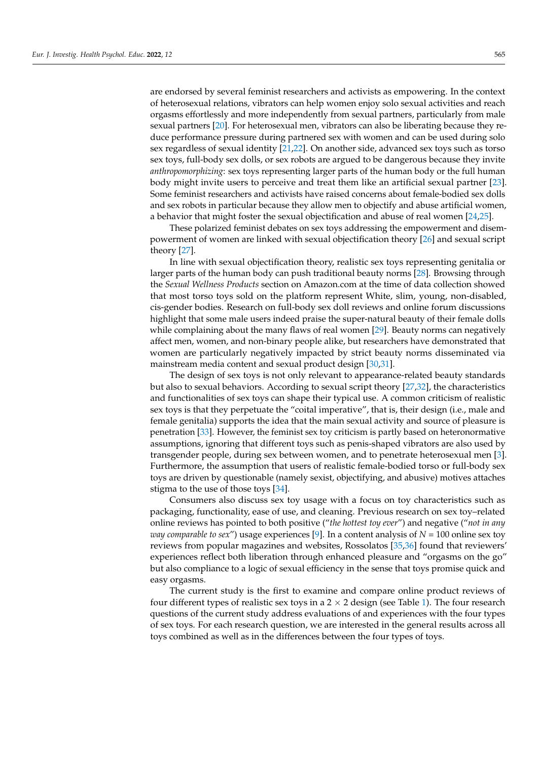are endorsed by several feminist researchers and activists as empowering. In the context of heterosexual relations, vibrators can help women enjoy solo sexual activities and reach orgasms effortlessly and more independently from sexual partners, particularly from male sexual partners [\[20\]](#page-14-18). For heterosexual men, vibrators can also be liberating because they reduce performance pressure during partnered sex with women and can be used during solo sex regardless of sexual identity [\[21,](#page-14-19)[22\]](#page-14-20). On another side, advanced sex toys such as torso sex toys, full-body sex dolls, or sex robots are argued to be dangerous because they invite *anthropomorphizing*: sex toys representing larger parts of the human body or the full human body might invite users to perceive and treat them like an artificial sexual partner [\[23\]](#page-14-21). Some feminist researchers and activists have raised concerns about female-bodied sex dolls and sex robots in particular because they allow men to objectify and abuse artificial women, a behavior that might foster the sexual objectification and abuse of real women [\[24](#page-14-22)[,25\]](#page-14-23).

These polarized feminist debates on sex toys addressing the empowerment and disempowerment of women are linked with sexual objectification theory [\[26\]](#page-15-0) and sexual script theory [\[27\]](#page-15-1).

In line with sexual objectification theory, realistic sex toys representing genitalia or larger parts of the human body can push traditional beauty norms [\[28\]](#page-15-2). Browsing through the *Sexual Wellness Products* section on Amazon.com at the time of data collection showed that most torso toys sold on the platform represent White, slim, young, non-disabled, cis-gender bodies. Research on full-body sex doll reviews and online forum discussions highlight that some male users indeed praise the super-natural beauty of their female dolls while complaining about the many flaws of real women [\[29\]](#page-15-3). Beauty norms can negatively affect men, women, and non-binary people alike, but researchers have demonstrated that women are particularly negatively impacted by strict beauty norms disseminated via mainstream media content and sexual product design [\[30](#page-15-4)[,31\]](#page-15-5).

The design of sex toys is not only relevant to appearance-related beauty standards but also to sexual behaviors. According to sexual script theory [\[27](#page-15-1)[,32\]](#page-15-6), the characteristics and functionalities of sex toys can shape their typical use. A common criticism of realistic sex toys is that they perpetuate the "coital imperative", that is, their design (i.e., male and female genitalia) supports the idea that the main sexual activity and source of pleasure is penetration [\[33\]](#page-15-7). However, the feminist sex toy criticism is partly based on heteronormative assumptions, ignoring that different toys such as penis-shaped vibrators are also used by transgender people, during sex between women, and to penetrate heterosexual men [\[3\]](#page-14-2). Furthermore, the assumption that users of realistic female-bodied torso or full-body sex toys are driven by questionable (namely sexist, objectifying, and abusive) motives attaches stigma to the use of those toys [\[34\]](#page-15-8).

Consumers also discuss sex toy usage with a focus on toy characteristics such as packaging, functionality, ease of use, and cleaning. Previous research on sex toy–related online reviews has pointed to both positive ("*the hottest toy ever*") and negative ("*not in any way comparable to sex*") usage experiences [\[9\]](#page-14-8). In a content analysis of *N* = 100 online sex toy reviews from popular magazines and websites, Rossolatos [\[35,](#page-15-9)[36\]](#page-15-10) found that reviewers' experiences reflect both liberation through enhanced pleasure and "orgasms on the go" but also compliance to a logic of sexual efficiency in the sense that toys promise quick and easy orgasms.

The current study is the first to examine and compare online product reviews of four different types of realistic sex toys in a  $2 \times 2$  design (see Table [1\)](#page-3-0). The four research questions of the current study address evaluations of and experiences with the four types of sex toys. For each research question, we are interested in the general results across all toys combined as well as in the differences between the four types of toys.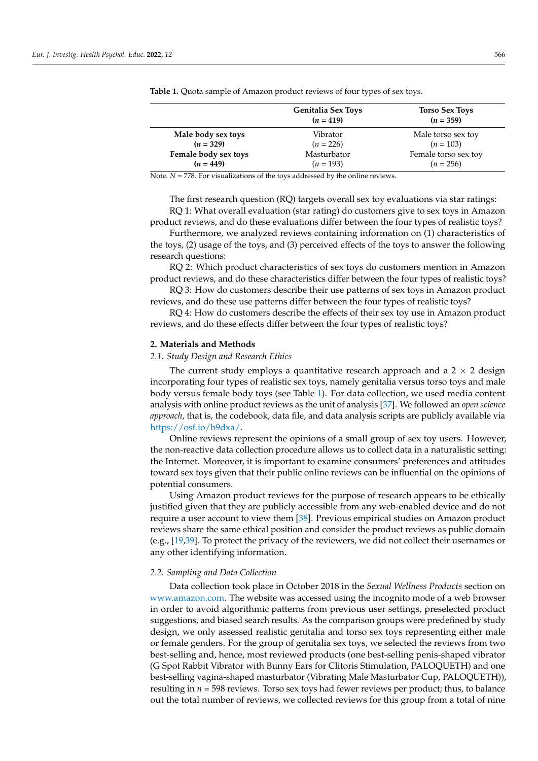|                      | <b>Genitalia Sex Toys</b><br>$(n = 419)$ | <b>Torso Sex Toys</b><br>$(n = 359)$ |
|----------------------|------------------------------------------|--------------------------------------|
| Male body sex toys   | Vibrator                                 | Male torso sex toy                   |
| $(n = 329)$          | $(n = 226)$                              | $(n = 103)$                          |
| Female body sex toys | Masturbator                              | Female torso sex toy                 |
| $(n = 449)$          | $(n = 193)$                              | $(n = 256)$                          |

<span id="page-3-0"></span>**Table 1.** Quota sample of Amazon product reviews of four types of sex toys.

Note.  $N = 778$ . For visualizations of the toys addressed by the online reviews.

The first research question (RQ) targets overall sex toy evaluations via star ratings: RQ 1: What overall evaluation (star rating) do customers give to sex toys in Amazon

product reviews, and do these evaluations differ between the four types of realistic toys? Furthermore, we analyzed reviews containing information on (1) characteristics of

the toys, (2) usage of the toys, and (3) perceived effects of the toys to answer the following research questions:

RQ 2: Which product characteristics of sex toys do customers mention in Amazon product reviews, and do these characteristics differ between the four types of realistic toys?

RQ 3: How do customers describe their use patterns of sex toys in Amazon product reviews, and do these use patterns differ between the four types of realistic toys?

RQ 4: How do customers describe the effects of their sex toy use in Amazon product reviews, and do these effects differ between the four types of realistic toys?

### **2. Materials and Methods**

#### *2.1. Study Design and Research Ethics*

The current study employs a quantitative research approach and a  $2 \times 2$  design incorporating four types of realistic sex toys, namely genitalia versus torso toys and male body versus female body toys (see Table [1\)](#page-3-0). For data collection, we used media content analysis with online product reviews as the unit of analysis [\[37\]](#page-15-11). We followed an *open science approach*, that is, the codebook, data file, and data analysis scripts are publicly available via [https://osf.io/b9dxa/.](https://osf.io/b9dxa/)

Online reviews represent the opinions of a small group of sex toy users. However, the non-reactive data collection procedure allows us to collect data in a naturalistic setting: the Internet. Moreover, it is important to examine consumers' preferences and attitudes toward sex toys given that their public online reviews can be influential on the opinions of potential consumers.

Using Amazon product reviews for the purpose of research appears to be ethically justified given that they are publicly accessible from any web-enabled device and do not require a user account to view them [\[38\]](#page-15-12). Previous empirical studies on Amazon product reviews share the same ethical position and consider the product reviews as public domain (e.g.,  $[19,39]$  $[19,39]$ . To protect the privacy of the reviewers, we did not collect their usernames or any other identifying information.

## *2.2. Sampling and Data Collection*

Data collection took place in October 2018 in the *Sexual Wellness Products* section on [www.amazon.com.](www.amazon.com) The website was accessed using the incognito mode of a web browser in order to avoid algorithmic patterns from previous user settings, preselected product suggestions, and biased search results. As the comparison groups were predefined by study design, we only assessed realistic genitalia and torso sex toys representing either male or female genders. For the group of genitalia sex toys, we selected the reviews from two best-selling and, hence, most reviewed products (one best-selling penis-shaped vibrator (G Spot Rabbit Vibrator with Bunny Ears for Clitoris Stimulation, PALOQUETH) and one best-selling vagina-shaped masturbator (Vibrating Male Masturbator Cup, PALOQUETH)), resulting in *n* = 598 reviews. Torso sex toys had fewer reviews per product; thus, to balance out the total number of reviews, we collected reviews for this group from a total of nine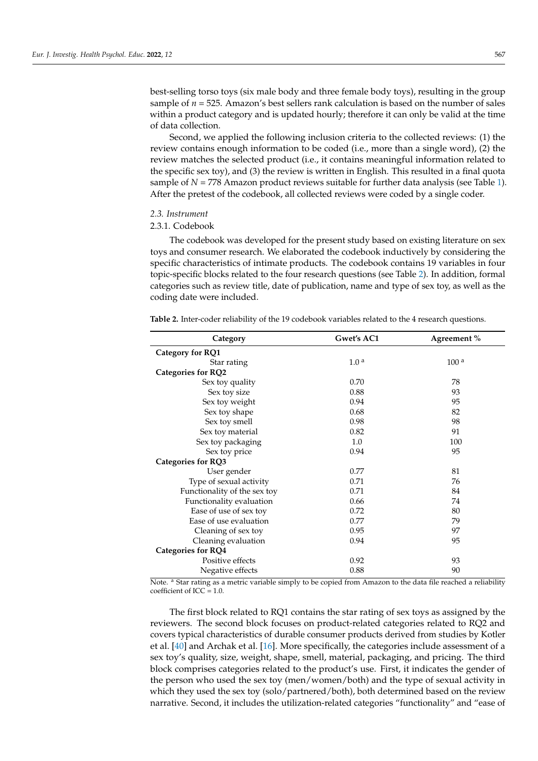best-selling torso toys (six male body and three female body toys), resulting in the group sample of *n* = 525. Amazon's best sellers rank calculation is based on the number of sales within a product category and is updated hourly; therefore it can only be valid at the time of data collection.

Second, we applied the following inclusion criteria to the collected reviews: (1) the review contains enough information to be coded (i.e., more than a single word), (2) the review matches the selected product (i.e., it contains meaningful information related to the specific sex toy), and (3) the review is written in English. This resulted in a final quota sample of *N* = 778 Amazon product reviews suitable for further data analysis (see Table [1\)](#page-3-0). After the pretest of the codebook, all collected reviews were coded by a single coder.

## *2.3. Instrument*

## 2.3.1. Codebook

The codebook was developed for the present study based on existing literature on sex toys and consumer research. We elaborated the codebook inductively by considering the specific characteristics of intimate products. The codebook contains 19 variables in four topic-specific blocks related to the four research questions (see Table [2\)](#page-4-0). In addition, formal categories such as review title, date of publication, name and type of sex toy, as well as the coding date were included.

| Category                     | Gwet's AC1       | Agreement %      |
|------------------------------|------------------|------------------|
| Category for RQ1             |                  |                  |
| Star rating                  | 1.0 <sup>a</sup> | 100 <sup>a</sup> |
| <b>Categories for RQ2</b>    |                  |                  |
| Sex toy quality              | 0.70             | 78               |
| Sex toy size                 | 0.88             | 93               |
| Sex toy weight               | 0.94             | 95               |
| Sex toy shape                | 0.68             | 82               |
| Sex toy smell                | 0.98             | 98               |
| Sex toy material             | 0.82             | 91               |
| Sex toy packaging            | 1.0              | 100              |
| Sex toy price                | 0.94             | 95               |
| <b>Categories for RQ3</b>    |                  |                  |
| User gender                  | 0.77             | 81               |
| Type of sexual activity      | 0.71             | 76               |
| Functionality of the sex toy | 0.71             | 84               |
| Functionality evaluation     | 0.66             | 74               |
| Ease of use of sex toy       | 0.72             | 80               |
| Ease of use evaluation       | 0.77             | 79               |
| Cleaning of sex toy          | 0.95             | 97               |
| Cleaning evaluation          | 0.94             | 95               |
| <b>Categories for RQ4</b>    |                  |                  |
| Positive effects             | 0.92             | 93               |
| Negative effects             | 0.88             | 90               |

<span id="page-4-0"></span>**Table 2.** Inter-coder reliability of the 19 codebook variables related to the 4 research questions.

Note. <sup>a</sup> Star rating as a metric variable simply to be copied from Amazon to the data file reached a reliability coefficient of ICC =  $1.0$ .

The first block related to RQ1 contains the star rating of sex toys as assigned by the reviewers. The second block focuses on product-related categories related to RQ2 and covers typical characteristics of durable consumer products derived from studies by Kotler et al. [\[40\]](#page-15-14) and Archak et al. [\[16\]](#page-14-14). More specifically, the categories include assessment of a sex toy's quality, size, weight, shape, smell, material, packaging, and pricing. The third block comprises categories related to the product's use. First, it indicates the gender of the person who used the sex toy (men/women/both) and the type of sexual activity in which they used the sex toy (solo/partnered/both), both determined based on the review narrative. Second, it includes the utilization-related categories "functionality" and "ease of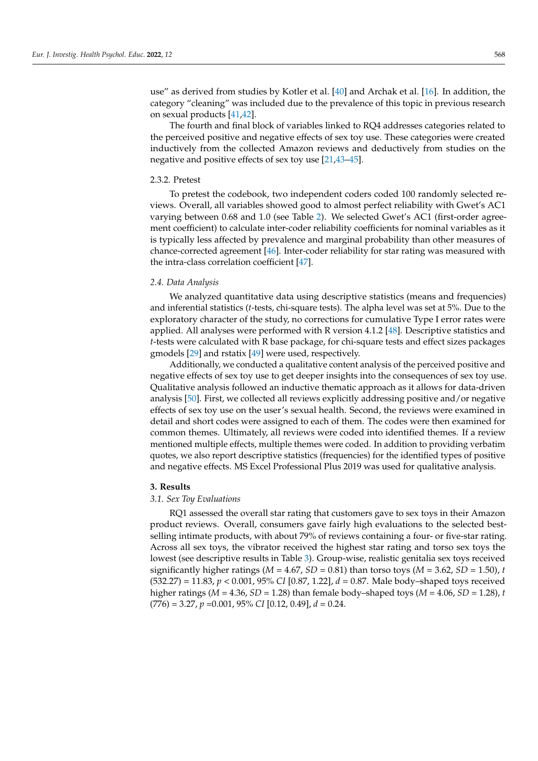use" as derived from studies by Kotler et al. [\[40\]](#page-15-14) and Archak et al. [\[16\]](#page-14-14). In addition, the category "cleaning" was included due to the prevalence of this topic in previous research on sexual products [\[41,](#page-15-15)[42\]](#page-15-16).

The fourth and final block of variables linked to RQ4 addresses categories related to the perceived positive and negative effects of sex toy use. These categories were created inductively from the collected Amazon reviews and deductively from studies on the negative and positive effects of sex toy use [\[21,](#page-14-19)[43–](#page-15-17)[45\]](#page-15-18).

#### 2.3.2. Pretest

To pretest the codebook, two independent coders coded 100 randomly selected reviews. Overall, all variables showed good to almost perfect reliability with Gwet's AC1 varying between 0.68 and 1.0 (see Table [2\)](#page-4-0). We selected Gwet's AC1 (first-order agreement coefficient) to calculate inter-coder reliability coefficients for nominal variables as it is typically less affected by prevalence and marginal probability than other measures of chance-corrected agreement [\[46\]](#page-15-19). Inter-coder reliability for star rating was measured with the intra-class correlation coefficient [\[47\]](#page-15-20).

#### *2.4. Data Analysis*

We analyzed quantitative data using descriptive statistics (means and frequencies) and inferential statistics (*t*-tests, chi-square tests). The alpha level was set at 5%. Due to the exploratory character of the study, no corrections for cumulative Type I error rates were applied. All analyses were performed with R version 4.1.2 [\[48\]](#page-15-21). Descriptive statistics and *t*-tests were calculated with R base package, for chi-square tests and effect sizes packages gmodels [\[29\]](#page-15-3) and rstatix [\[49\]](#page-15-22) were used, respectively.

Additionally, we conducted a qualitative content analysis of the perceived positive and negative effects of sex toy use to get deeper insights into the consequences of sex toy use. Qualitative analysis followed an inductive thematic approach as it allows for data-driven analysis [\[50\]](#page-15-23). First, we collected all reviews explicitly addressing positive and/or negative effects of sex toy use on the user's sexual health. Second, the reviews were examined in detail and short codes were assigned to each of them. The codes were then examined for common themes. Ultimately, all reviews were coded into identified themes. If a review mentioned multiple effects, multiple themes were coded. In addition to providing verbatim quotes, we also report descriptive statistics (frequencies) for the identified types of positive and negative effects. MS Excel Professional Plus 2019 was used for qualitative analysis.

#### **3. Results**

#### *3.1. Sex Toy Evaluations*

RQ1 assessed the overall star rating that customers gave to sex toys in their Amazon product reviews. Overall, consumers gave fairly high evaluations to the selected bestselling intimate products, with about 79% of reviews containing a four- or five-star rating. Across all sex toys, the vibrator received the highest star rating and torso sex toys the lowest (see descriptive results in Table [3\)](#page-6-0). Group-wise, realistic genitalia sex toys received significantly higher ratings ( $M = 4.67$ ,  $SD = 0.81$ ) than torso toys ( $M = 3.62$ ,  $SD = 1.50$ ), *t* (532.27) = 11.83, *p* < 0.001, 95% *CI* [0.87, 1.22], *d* = 0.87. Male body–shaped toys received higher ratings ( $M = 4.36$ ,  $SD = 1.28$ ) than female body–shaped toys ( $M = 4.06$ ,  $SD = 1.28$ ), *t* (776) = 3.27, *p* =0.001, 95% *CI* [0.12, 0.49], *d* = 0.24.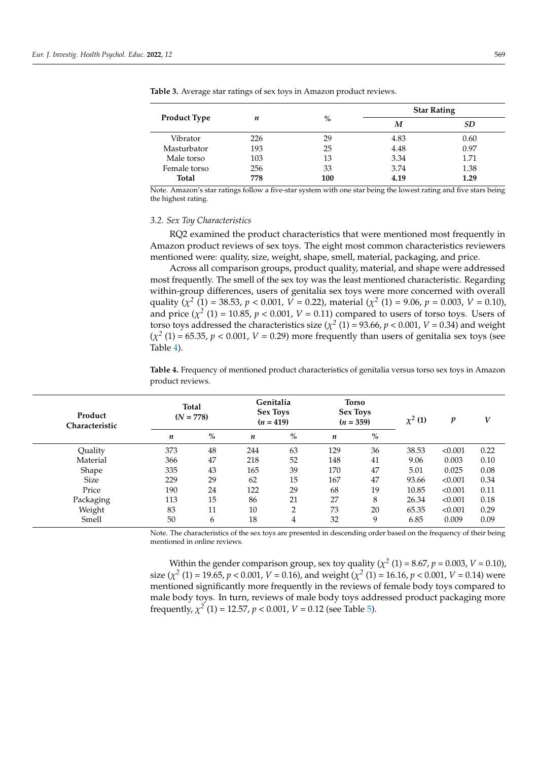| <b>Product Type</b> |     |      | <b>Star Rating</b> |      |  |  |
|---------------------|-----|------|--------------------|------|--|--|
|                     | n   | $\%$ | M                  | SD   |  |  |
| Vibrator            | 226 | 29   | 4.83               | 0.60 |  |  |
| Masturbator         | 193 | 25   | 4.48               | 0.97 |  |  |
| Male torso          | 103 | 13   | 3.34               | 1.71 |  |  |
| Female torso        | 256 | 33   | 3.74               | 1.38 |  |  |
| <b>Total</b>        | 778 | 100  | 4.19               | 1.29 |  |  |

<span id="page-6-0"></span>**Table 3.** Average star ratings of sex toys in Amazon product reviews.

Note. Amazon's star ratings follow a five-star system with one star being the lowest rating and five stars being the highest rating.

#### *3.2. Sex Toy Characteristics*

RQ2 examined the product characteristics that were mentioned most frequently in Amazon product reviews of sex toys. The eight most common characteristics reviewers mentioned were: quality, size, weight, shape, smell, material, packaging, and price.

Across all comparison groups, product quality, material, and shape were addressed most frequently. The smell of the sex toy was the least mentioned characteristic. Regarding within-group differences, users of genitalia sex toys were more concerned with overall quality ( $\chi^2$  (1) = 38.53,  $p < 0.001$ ,  $V = 0.22$ ), material ( $\chi^2$  (1) = 9.06,  $p = 0.003$ ,  $V = 0.10$ ), and price  $(\chi^2(1) = 10.85, p < 0.001, V = 0.11)$  compared to users of torso toys. Users of torso toys addressed the characteristics size  $(\chi^2(1) = 93.66, p < 0.001, V = 0.34)$  and weight  $(\chi^2(1) = 65.35, p < 0.001, V = 0.29)$  more frequently than users of genitalia sex toys (see Table [4\)](#page-6-1).

<span id="page-6-1"></span>**Table 4.** Frequency of mentioned product characteristics of genitalia versus torso sex toys in Amazon product reviews.

| Product<br><b>Characteristic</b> |     | <b>Total</b><br>$(N = 778)$ |     | Genitalia<br><b>Sex Toys</b><br>$(n = 419)$ |     | <b>Torso</b><br><b>Sex Toys</b><br>$(n = 359)$ |       | p       | V    |
|----------------------------------|-----|-----------------------------|-----|---------------------------------------------|-----|------------------------------------------------|-------|---------|------|
|                                  | n   | %                           | n   | $\%$                                        | n   | $\%$                                           |       |         |      |
| Quality                          | 373 | 48                          | 244 | 63                                          | 129 | 36                                             | 38.53 | < 0.001 | 0.22 |
| Material                         | 366 | 47                          | 218 | 52                                          | 148 | 41                                             | 9.06  | 0.003   | 0.10 |
| Shape                            | 335 | 43                          | 165 | 39                                          | 170 | 47                                             | 5.01  | 0.025   | 0.08 |
| Size                             | 229 | 29                          | 62  | 15                                          | 167 | 47                                             | 93.66 | < 0.001 | 0.34 |
| Price                            | 190 | 24                          | 122 | 29                                          | 68  | 19                                             | 10.85 | < 0.001 | 0.11 |
| Packaging                        | 113 | 15                          | 86  | 21                                          | 27  | 8                                              | 26.34 | < 0.001 | 0.18 |
| Weight                           | 83  | 11                          | 10  | $\overline{2}$                              | 73  | 20                                             | 65.35 | < 0.001 | 0.29 |
| Smell                            | 50  | 6                           | 18  | 4                                           | 32  | 9                                              | 6.85  | 0.009   | 0.09 |

Note. The characteristics of the sex toys are presented in descending order based on the frequency of their being mentioned in online reviews.

Within the gender comparison group, sex toy quality ( $\chi^2$  (1) = 8.67,  $p$  = 0.003,  $V$  = 0.10), size ( $\chi^2$  (1) = 19.65, *p* < 0.001, *V* = 0.16), and weight ( $\chi^2$  (1) = 16.16, *p* < 0.001, *V* = 0.14) were mentioned significantly more frequently in the reviews of female body toys compared to male body toys. In turn, reviews of male body toys addressed product packaging more frequently,  $\chi^2$  (1) = 12.57,  $p < 0.001$ ,  $V = 0.12$  (see Table [5\)](#page-7-0).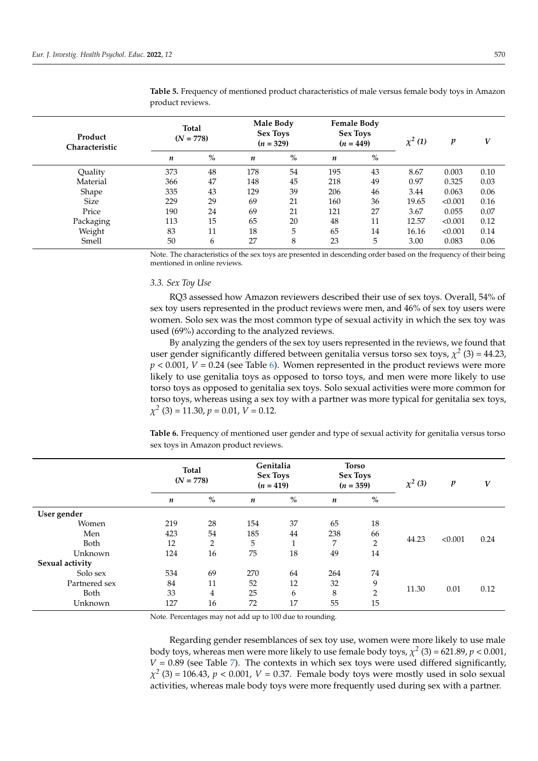| Product<br><b>Characteristic</b> |     | <b>Total</b><br>$(N = 778)$ |     | Male Body<br><b>Sex Toys</b><br>$(n = 329)$ |     | <b>Female Body</b><br><b>Sex Toys</b><br>$(n = 449)$ |       | p       | V    |
|----------------------------------|-----|-----------------------------|-----|---------------------------------------------|-----|------------------------------------------------------|-------|---------|------|
|                                  | n   | $\%$                        | n   | %                                           | n   | %                                                    |       |         |      |
| Quality                          | 373 | 48                          | 178 | 54                                          | 195 | 43                                                   | 8.67  | 0.003   | 0.10 |
| Material                         | 366 | 47                          | 148 | 45                                          | 218 | 49                                                   | 0.97  | 0.325   | 0.03 |
| Shape                            | 335 | 43                          | 129 | 39                                          | 206 | 46                                                   | 3.44  | 0.063   | 0.06 |
| Size                             | 229 | 29                          | 69  | 21                                          | 160 | 36                                                   | 19.65 | < 0.001 | 0.16 |
| Price                            | 190 | 24                          | 69  | 21                                          | 121 | 27                                                   | 3.67  | 0.055   | 0.07 |
| Packaging                        | 113 | 15                          | 65  | 20                                          | 48  | 11                                                   | 12.57 | < 0.001 | 0.12 |
| Weight                           | 83  | 11                          | 18  | 5                                           | 65  | 14                                                   | 16.16 | < 0.001 | 0.14 |
| Smell                            | 50  | 6                           | 27  | 8                                           | 23  | 5                                                    | 3.00  | 0.083   | 0.06 |

<span id="page-7-0"></span>**Table 5.** Frequency of mentioned product characteristics of male versus female body toys in Amazon product reviews.

Note. The characteristics of the sex toys are presented in descending order based on the frequency of their being mentioned in online reviews.

## *3.3. Sex Toy Use*

RQ3 assessed how Amazon reviewers described their use of sex toys. Overall, 54% of sex toy users represented in the product reviews were men, and 46% of sex toy users were women. Solo sex was the most common type of sexual activity in which the sex toy was used (69%) according to the analyzed reviews.

By analyzing the genders of the sex toy users represented in the reviews, we found that user gender significantly differed between genitalia versus torso sex toys,  $\chi^2$  (3) = 44.23,  $p < 0.001$ ,  $V = 0.24$  (see Table [6\)](#page-7-1). Women represented in the product reviews were more likely to use genitalia toys as opposed to torso toys, and men were more likely to use torso toys as opposed to genitalia sex toys. Solo sexual activities were more common for torso toys, whereas using a sex toy with a partner was more typical for genitalia sex toys, *χ 2* (3) = 11.30, *p* = 0.01, *V* = 0.12.

<span id="page-7-1"></span>**Table 6.** Frequency of mentioned user gender and type of sexual activity for genitalia versus torso sex toys in Amazon product reviews.

|                 | <b>Total</b><br>$(N = 778)$ |                | $(n = 419)$ | Genitalia<br><b>Sex Toys</b> | <b>Torso</b><br><b>Sex Toys</b><br>$(n = 359)$ |                | $\chi^2$ (3) | $\boldsymbol{p}$ | V    |
|-----------------|-----------------------------|----------------|-------------|------------------------------|------------------------------------------------|----------------|--------------|------------------|------|
|                 | $\boldsymbol{n}$            | $\%$           | n           | $\%$                         | n                                              | $\%$           |              |                  |      |
| User gender     |                             |                |             |                              |                                                |                |              |                  |      |
| Women           | 219                         | 28             | 154         | 37                           | 65                                             | 18             |              |                  |      |
| Men             | 423                         | 54             | 185         | 44                           | 238                                            | 66             |              |                  |      |
| Both            | 12                          | $\overline{2}$ | 5           | 1                            | 7                                              | $\overline{2}$ | 44.23        | < 0.001          | 0.24 |
| Unknown         | 124                         | 16             | 75          | 18                           | 49                                             | 14             |              |                  |      |
| Sexual activity |                             |                |             |                              |                                                |                |              |                  |      |
| Solo sex        | 534                         | 69             | 270         | 64                           | 264                                            | 74             |              |                  |      |
| Partnered sex   | 84                          | 11             | 52          | 12                           | 32                                             | 9              |              |                  |      |
| Both            | 33                          | $\overline{4}$ | 25          | 6                            | 8                                              | $\overline{2}$ | 11.30        | 0.01             | 0.12 |
| Unknown         | 127                         | 16             | 72          | 17                           | 55                                             | 15             |              |                  |      |

Note. Percentages may not add up to 100 due to rounding.

Regarding gender resemblances of sex toy use, women were more likely to use male body toys, whereas men were more likely to use female body toys,  $\chi^2$  (3) = 621.89,  $p < 0.001$ ,  $V = 0.89$  (see Table [7\)](#page-8-0). The contexts in which sex toys were used differed significantly,  $\chi^2$  (3) = 106.43, *p* < 0.001, *V* = 0.37. Female body toys were mostly used in solo sexual activities, whereas male body toys were more frequently used during sex with a partner.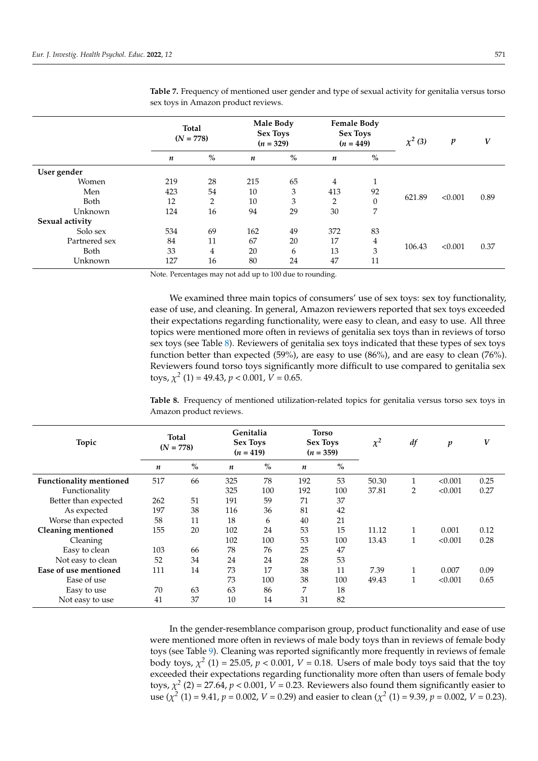|                 | <b>Total</b><br>$(N = 778)$ |                | $(n = 329)$      | Male Body<br><b>Sex Toys</b> | <b>Female Body</b><br><b>Sex Toys</b><br>$(n = 449)$ |              | $\chi^2$ (3) | $\boldsymbol{p}$ | V    |
|-----------------|-----------------------------|----------------|------------------|------------------------------|------------------------------------------------------|--------------|--------------|------------------|------|
|                 | $\boldsymbol{n}$            | %              | $\boldsymbol{n}$ | $\%$                         | n                                                    | %            |              |                  |      |
| User gender     |                             |                |                  |                              |                                                      |              |              |                  |      |
| Women           | 219                         | 28             | 215              | 65                           | 4                                                    | $\mathbf{1}$ |              |                  |      |
| Men             | 423                         | 54             | 10               | 3                            | 413                                                  | 92           |              |                  |      |
| Both            | 12                          | $\overline{2}$ | 10               | 3                            | 2                                                    | $\mathbf{0}$ | 621.89       | < 0.001          | 0.89 |
| Unknown         | 124                         | 16             | 94               | 29                           | 30                                                   | 7            |              |                  |      |
| Sexual activity |                             |                |                  |                              |                                                      |              |              |                  |      |
| Solo sex        | 534                         | 69             | 162              | 49                           | 372                                                  | 83           |              |                  |      |
| Partnered sex   | 84                          | 11             | 67               | 20                           | 17                                                   | 4            |              |                  |      |
| Both            | 33                          | $\overline{4}$ | 20               | 6                            | 13                                                   | 3            | 106.43       | < 0.001          | 0.37 |
| Unknown         | 127                         | 16             | 80               | 24                           | 47                                                   | 11           |              |                  |      |

<span id="page-8-0"></span>**Table 7.** Frequency of mentioned user gender and type of sexual activity for genitalia versus torso sex toys in Amazon product reviews.

Note. Percentages may not add up to 100 due to rounding.

We examined three main topics of consumers' use of sex toys: sex toy functionality, ease of use, and cleaning. In general, Amazon reviewers reported that sex toys exceeded their expectations regarding functionality, were easy to clean, and easy to use. All three topics were mentioned more often in reviews of genitalia sex toys than in reviews of torso sex toys (see Table [8\)](#page-8-1). Reviewers of genitalia sex toys indicated that these types of sex toys function better than expected (59%), are easy to use (86%), and are easy to clean (76%). Reviewers found torso toys significantly more difficult to use compared to genitalia sex toys,  $\chi^2$  (1) = 49.43,  $p < 0.001$ ,  $V = 0.65$ .

<span id="page-8-1"></span>**Table 8.** Frequency of mentioned utilization-related topics for genitalia versus torso sex toys in Amazon product reviews.

| Topic                          | <b>Total</b><br>$(N = 778)$ |      | $(n = 419)$      | Genitalia<br><b>Sex Toys</b> |     | Torso<br><b>Sex Toys</b><br>$(n = 359)$ | $\chi^2$ | df           | $\boldsymbol{p}$ | V    |
|--------------------------------|-----------------------------|------|------------------|------------------------------|-----|-----------------------------------------|----------|--------------|------------------|------|
|                                | n                           | $\%$ | $\boldsymbol{n}$ | $\%$                         | n   | $\%$                                    |          |              |                  |      |
| <b>Functionality mentioned</b> | 517                         | 66   | 325              | 78                           | 192 | 53                                      | 50.30    |              | < 0.001          | 0.25 |
| Functionality                  |                             |      | 325              | 100                          | 192 | 100                                     | 37.81    | 2            | < 0.001          | 0.27 |
| Better than expected           | 262                         | 51   | 191              | 59                           | 71  | 37                                      |          |              |                  |      |
| As expected                    | 197                         | 38   | 116              | 36                           | 81  | 42                                      |          |              |                  |      |
| Worse than expected            | 58                          | 11   | 18               | 6                            | 40  | 21                                      |          |              |                  |      |
| <b>Cleaning mentioned</b>      | 155                         | 20   | 102              | 24                           | 53  | 15                                      | 11.12    | $\mathbf{1}$ | 0.001            | 0.12 |
| Cleaning                       |                             |      | 102              | 100                          | 53  | 100                                     | 13.43    | $\mathbf{1}$ | < 0.001          | 0.28 |
| Easy to clean                  | 103                         | 66   | 78               | 76                           | 25  | 47                                      |          |              |                  |      |
| Not easy to clean              | 52                          | 34   | 24               | 24                           | 28  | 53                                      |          |              |                  |      |
| Ease of use mentioned          | 111                         | 14   | 73               | 17                           | 38  | 11                                      | 7.39     | 1            | 0.007            | 0.09 |
| Ease of use                    |                             |      | 73               | 100                          | 38  | 100                                     | 49.43    | 1<br>T       | < 0.001          | 0.65 |
| Easy to use                    | 70                          | 63   | 63               | 86                           | 7   | 18                                      |          |              |                  |      |
| Not easy to use                | 41                          | 37   | 10               | 14                           | 31  | 82                                      |          |              |                  |      |

In the gender-resemblance comparison group, product functionality and ease of use were mentioned more often in reviews of male body toys than in reviews of female body toys (see Table [9\)](#page-9-0). Cleaning was reported significantly more frequently in reviews of female body toys,  $\chi^2$  (1) = 25.05,  $p < 0.001$ ,  $V = 0.18$ . Users of male body toys said that the toy exceeded their expectations regarding functionality more often than users of female body toys,  $\chi^2$  (2) = 27.64,  $p < 0.001$ ,  $V = 0.23$ . Reviewers also found them significantly easier to use ( $\chi^2$  (1) = 9.41, *p* = 0.002, *V* = 0.29) and easier to clean ( $\chi^2$  (1) = 9.39, *p* = 0.002, *V* = 0.23).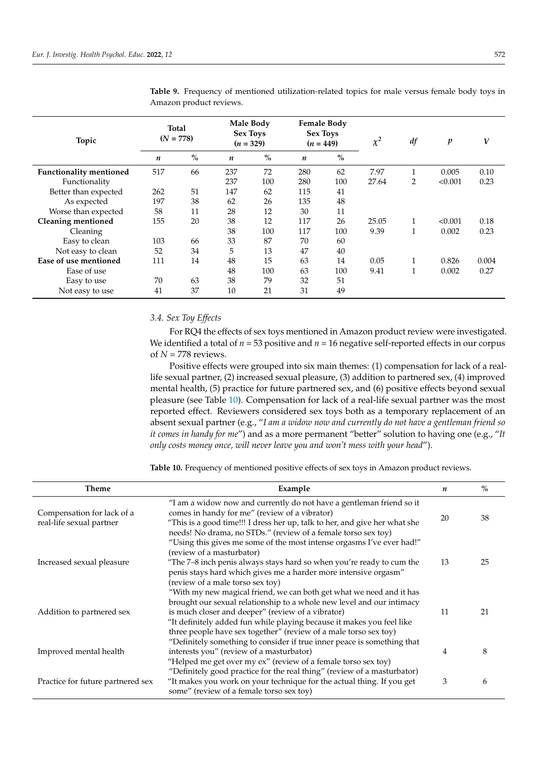| Topic                          | <b>Total</b><br>$(N = 778)$ |               |                  | Male Body<br><b>Sex Toys</b><br>$(n = 329)$ |     | <b>Female Body</b><br><b>Sex Toys</b><br>$(n = 449)$ |       | df           | p       | V     |
|--------------------------------|-----------------------------|---------------|------------------|---------------------------------------------|-----|------------------------------------------------------|-------|--------------|---------|-------|
|                                | $\boldsymbol{n}$            | $\frac{0}{0}$ | $\boldsymbol{n}$ | $\%$                                        | n   | $\%$                                                 |       |              |         |       |
| <b>Functionality mentioned</b> | 517                         | 66            | 237              | 72                                          | 280 | 62                                                   | 7.97  | 1            | 0.005   | 0.10  |
| Functionality                  |                             |               | 237              | 100                                         | 280 | 100                                                  | 27.64 | 2            | < 0.001 | 0.23  |
| Better than expected           | 262                         | 51            | 147              | 62                                          | 115 | 41                                                   |       |              |         |       |
| As expected                    | 197                         | 38            | 62               | 26                                          | 135 | 48                                                   |       |              |         |       |
| Worse than expected            | 58                          | 11            | 28               | 12                                          | 30  | 11                                                   |       |              |         |       |
| <b>Cleaning mentioned</b>      | 155                         | 20            | 38               | 12                                          | 117 | 26                                                   | 25.05 | 1            | < 0.001 | 0.18  |
| Cleaning                       |                             |               | 38               | 100                                         | 117 | 100                                                  | 9.39  | $\mathbf{1}$ | 0.002   | 0.23  |
| Easy to clean                  | 103                         | 66            | 33               | 87                                          | 70  | 60                                                   |       |              |         |       |
| Not easy to clean              | 52                          | 34            | 5                | 13                                          | 47  | 40                                                   |       |              |         |       |
| Ease of use mentioned          | 111                         | 14            | 48               | 15                                          | 63  | 14                                                   | 0.05  | 1            | 0.826   | 0.004 |
| Ease of use                    |                             |               | 48               | 100                                         | 63  | 100                                                  | 9.41  | 1            | 0.002   | 0.27  |
| Easy to use                    | 70                          | 63            | 38               | 79                                          | 32  | 51                                                   |       |              |         |       |
| Not easy to use                | 41                          | 37            | 10               | 21                                          | 31  | 49                                                   |       |              |         |       |

<span id="page-9-0"></span>**Table 9.** Frequency of mentioned utilization-related topics for male versus female body toys in Amazon product reviews.

## *3.4. Sex Toy Effects*

For RQ4 the effects of sex toys mentioned in Amazon product review were investigated. We identified a total of  $n = 53$  positive and  $n = 16$  negative self-reported effects in our corpus of  $N = 778$  reviews.

Positive effects were grouped into six main themes: (1) compensation for lack of a reallife sexual partner, (2) increased sexual pleasure, (3) addition to partnered sex, (4) improved mental health, (5) practice for future partnered sex, and (6) positive effects beyond sexual pleasure (see Table [10\)](#page-10-0). Compensation for lack of a real-life sexual partner was the most reported effect. Reviewers considered sex toys both as a temporary replacement of an absent sexual partner (e.g., "*I am a widow now and currently do not have a gentleman friend so it comes in handy for me*") and as a more permanent "better" solution to having one (e.g., "*It only costs money once, will never leave you and won't mess with your head*").

**Table 10.** Frequency of mentioned positive effects of sex toys in Amazon product reviews.

| <b>Theme</b>                                           | Example                                                                                                                                                                                                                                                                                                                                         | n  | $\%$ |
|--------------------------------------------------------|-------------------------------------------------------------------------------------------------------------------------------------------------------------------------------------------------------------------------------------------------------------------------------------------------------------------------------------------------|----|------|
| Compensation for lack of a<br>real-life sexual partner | "I am a widow now and currently do not have a gentleman friend so it<br>comes in handy for me" (review of a vibrator)<br>"This is a good time!!! I dress her up, talk to her, and give her what she<br>needs! No drama, no STDs." (review of a female torso sex toy)                                                                            | 20 | 38   |
|                                                        | "Using this gives me some of the most intense orgasms I've ever had!"<br>(review of a masturbator)                                                                                                                                                                                                                                              |    |      |
| Increased sexual pleasure                              | "The $7-8$ inch penis always stays hard so when you're ready to cum the<br>penis stays hard which gives me a harder more intensive orgasm"<br>(review of a male torso sex toy)                                                                                                                                                                  | 13 | 25   |
| Addition to partnered sex                              | "With my new magical friend, we can both get what we need and it has<br>brought our sexual relationship to a whole new level and our intimacy<br>is much closer and deeper" (review of a vibrator)<br>"It definitely added fun while playing because it makes you feel like<br>three people have sex together" (review of a male torso sex toy) | 11 | 21   |
| Improved mental health                                 | "Definitely something to consider if true inner peace is something that<br>interests you" (review of a masturbator)<br>"Helped me get over my ex" (review of a female torso sex toy)                                                                                                                                                            | 4  | 8    |
| Practice for future partnered sex                      | "Definitely good practice for the real thing" (review of a masturbator)<br>"It makes you work on your technique for the actual thing. If you get<br>some" (review of a female torso sex toy)                                                                                                                                                    | 3  | 6    |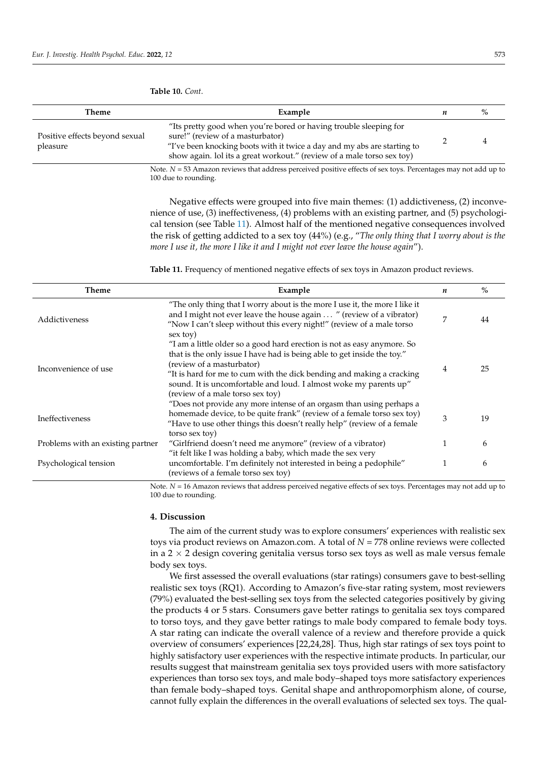| Theme                                      | Example                                                                                                                                                                                                                                                     | n | % |
|--------------------------------------------|-------------------------------------------------------------------------------------------------------------------------------------------------------------------------------------------------------------------------------------------------------------|---|---|
| Positive effects beyond sexual<br>pleasure | "Its pretty good when you're bored or having trouble sleeping for<br>sure!" (review of a masturbator)<br>"I've been knocking boots with it twice a day and my abs are starting to<br>show again. lol its a great workout." (review of a male torso sex toy) |   |   |
|                                            | Note. $N = 53$ Amazon reviews that address perceived positive effects of sex toys. Percentages may not add up to<br>100 due to rounding.                                                                                                                    |   |   |

<span id="page-10-0"></span>**Table 10.** *Cont*.

Negative effects were grouped into five main themes: (1) addictiveness, (2) inconvenience of use, (3) ineffectiveness, (4) problems with an existing partner, and (5) psychological tension (see Table [11\)](#page-10-1). Almost half of the mentioned negative consequences involved the risk of getting addicted to a sex toy (44%) (e.g., "*The only thing that I worry about is the more I use it, the more I like it and I might not ever leave the house again*").

<span id="page-10-1"></span>**Table 11.** Frequency of mentioned negative effects of sex toys in Amazon product reviews.

| Theme                             | Example                                                                                                                                                                                                                                                                                                                                                           | n | $\%$ |
|-----------------------------------|-------------------------------------------------------------------------------------------------------------------------------------------------------------------------------------------------------------------------------------------------------------------------------------------------------------------------------------------------------------------|---|------|
| Addictiveness                     | "The only thing that I worry about is the more I use it, the more I like it<br>and I might not ever leave the house again  " (review of a vibrator)<br>"Now I can't sleep without this every night!" (review of a male torso<br>sex toy)                                                                                                                          | 7 | 44   |
| Inconvenience of use              | "I am a little older so a good hard erection is not as easy anymore. So<br>that is the only issue I have had is being able to get inside the toy."<br>(review of a masturbator)<br>"It is hard for me to cum with the dick bending and making a cracking<br>sound. It is uncomfortable and loud. I almost woke my parents up"<br>(review of a male torso sex toy) | 4 | 25   |
| Ineffectiveness                   | "Does not provide any more intense of an orgasm than using perhaps a<br>homemade device, to be quite frank" (review of a female torso sex toy)<br>"Have to use other things this doesn't really help" (review of a female<br>torso sex toy)                                                                                                                       | 3 | 19   |
| Problems with an existing partner | "Girlfriend doesn't need me anymore" (review of a vibrator)                                                                                                                                                                                                                                                                                                       |   | 6    |
| Psychological tension             | "it felt like I was holding a baby, which made the sex very<br>uncomfortable. I'm definitely not interested in being a pedophile"<br>(reviews of a female torso sex toy)                                                                                                                                                                                          |   | 6    |

Note. *N* = 16 Amazon reviews that address perceived negative effects of sex toys. Percentages may not add up to 100 due to rounding.

#### **4. Discussion**

The aim of the current study was to explore consumers' experiences with realistic sex toys via product reviews on Amazon.com. A total of *N* = 778 online reviews were collected in a  $2 \times 2$  design covering genitalia versus torso sex toys as well as male versus female body sex toys.

We first assessed the overall evaluations (star ratings) consumers gave to best-selling realistic sex toys (RQ1). According to Amazon's five-star rating system, most reviewers (79%) evaluated the best-selling sex toys from the selected categories positively by giving the products 4 or 5 stars. Consumers gave better ratings to genitalia sex toys compared to torso toys, and they gave better ratings to male body compared to female body toys. A star rating can indicate the overall valence of a review and therefore provide a quick overview of consumers' experiences [22,24,28]. Thus, high star ratings of sex toys point to highly satisfactory user experiences with the respective intimate products. In particular, our results suggest that mainstream genitalia sex toys provided users with more satisfactory experiences than torso sex toys, and male body–shaped toys more satisfactory experiences than female body–shaped toys. Genital shape and anthropomorphism alone, of course, cannot fully explain the differences in the overall evaluations of selected sex toys. The qual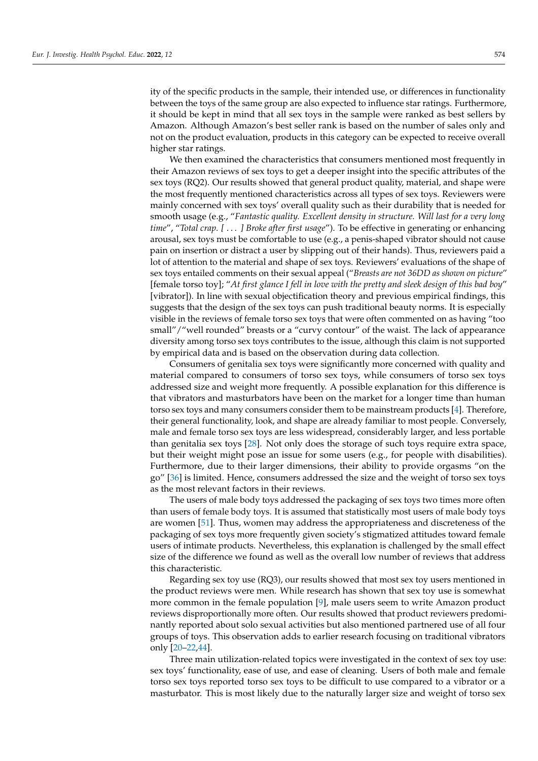ity of the specific products in the sample, their intended use, or differences in functionality between the toys of the same group are also expected to influence star ratings. Furthermore, it should be kept in mind that all sex toys in the sample were ranked as best sellers by Amazon. Although Amazon's best seller rank is based on the number of sales only and not on the product evaluation, products in this category can be expected to receive overall higher star ratings.

We then examined the characteristics that consumers mentioned most frequently in their Amazon reviews of sex toys to get a deeper insight into the specific attributes of the sex toys (RQ2). Our results showed that general product quality, material, and shape were the most frequently mentioned characteristics across all types of sex toys. Reviewers were mainly concerned with sex toys' overall quality such as their durability that is needed for smooth usage (e.g., "*Fantastic quality. Excellent density in structure. Will last for a very long time*", "*Total crap. [* . . . *] Broke after first usage*"). To be effective in generating or enhancing arousal, sex toys must be comfortable to use (e.g., a penis-shaped vibrator should not cause pain on insertion or distract a user by slipping out of their hands). Thus, reviewers paid a lot of attention to the material and shape of sex toys. Reviewers' evaluations of the shape of sex toys entailed comments on their sexual appeal ("*Breasts are not 36DD as shown on picture*" [female torso toy]; "*At first glance I fell in love with the pretty and sleek design of this bad boy*" [vibrator]). In line with sexual objectification theory and previous empirical findings, this suggests that the design of the sex toys can push traditional beauty norms. It is especially visible in the reviews of female torso sex toys that were often commented on as having "too small"/"well rounded" breasts or a "curvy contour" of the waist. The lack of appearance diversity among torso sex toys contributes to the issue, although this claim is not supported by empirical data and is based on the observation during data collection.

Consumers of genitalia sex toys were significantly more concerned with quality and material compared to consumers of torso sex toys, while consumers of torso sex toys addressed size and weight more frequently. A possible explanation for this difference is that vibrators and masturbators have been on the market for a longer time than human torso sex toys and many consumers consider them to be mainstream products [\[4\]](#page-14-3). Therefore, their general functionality, look, and shape are already familiar to most people. Conversely, male and female torso sex toys are less widespread, considerably larger, and less portable than genitalia sex toys [\[28\]](#page-15-2). Not only does the storage of such toys require extra space, but their weight might pose an issue for some users (e.g., for people with disabilities). Furthermore, due to their larger dimensions, their ability to provide orgasms "on the go" [\[36\]](#page-15-10) is limited. Hence, consumers addressed the size and the weight of torso sex toys as the most relevant factors in their reviews.

The users of male body toys addressed the packaging of sex toys two times more often than users of female body toys. It is assumed that statistically most users of male body toys are women [\[51\]](#page-15-24). Thus, women may address the appropriateness and discreteness of the packaging of sex toys more frequently given society's stigmatized attitudes toward female users of intimate products. Nevertheless, this explanation is challenged by the small effect size of the difference we found as well as the overall low number of reviews that address this characteristic.

Regarding sex toy use (RQ3), our results showed that most sex toy users mentioned in the product reviews were men. While research has shown that sex toy use is somewhat more common in the female population [\[9\]](#page-14-8), male users seem to write Amazon product reviews disproportionally more often. Our results showed that product reviewers predominantly reported about solo sexual activities but also mentioned partnered use of all four groups of toys. This observation adds to earlier research focusing on traditional vibrators only [\[20–](#page-14-18)[22](#page-14-20)[,44\]](#page-15-25).

Three main utilization-related topics were investigated in the context of sex toy use: sex toys' functionality, ease of use, and ease of cleaning. Users of both male and female torso sex toys reported torso sex toys to be difficult to use compared to a vibrator or a masturbator. This is most likely due to the naturally larger size and weight of torso sex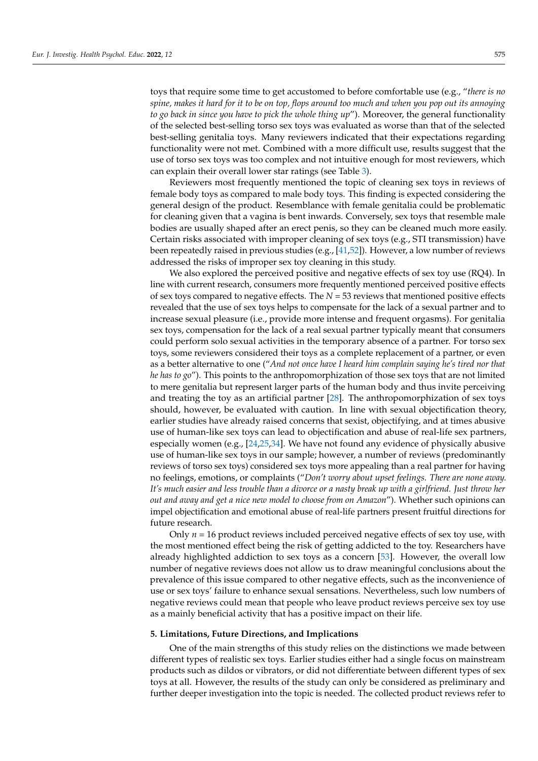toys that require some time to get accustomed to before comfortable use (e.g., "*there is no spine, makes it hard for it to be on top, flops around too much and when you pop out its annoying to go back in since you have to pick the whole thing up*"). Moreover, the general functionality of the selected best-selling torso sex toys was evaluated as worse than that of the selected best-selling genitalia toys. Many reviewers indicated that their expectations regarding functionality were not met. Combined with a more difficult use, results suggest that the use of torso sex toys was too complex and not intuitive enough for most reviewers, which can explain their overall lower star ratings (see Table [3\)](#page-6-0).

Reviewers most frequently mentioned the topic of cleaning sex toys in reviews of female body toys as compared to male body toys. This finding is expected considering the general design of the product. Resemblance with female genitalia could be problematic for cleaning given that a vagina is bent inwards. Conversely, sex toys that resemble male bodies are usually shaped after an erect penis, so they can be cleaned much more easily. Certain risks associated with improper cleaning of sex toys (e.g., STI transmission) have been repeatedly raised in previous studies (e.g., [\[41](#page-15-15)[,52\]](#page-15-26)). However, a low number of reviews addressed the risks of improper sex toy cleaning in this study.

We also explored the perceived positive and negative effects of sex toy use (RQ4). In line with current research, consumers more frequently mentioned perceived positive effects of sex toys compared to negative effects. The *N* = 53 reviews that mentioned positive effects revealed that the use of sex toys helps to compensate for the lack of a sexual partner and to increase sexual pleasure (i.e., provide more intense and frequent orgasms). For genitalia sex toys, compensation for the lack of a real sexual partner typically meant that consumers could perform solo sexual activities in the temporary absence of a partner. For torso sex toys, some reviewers considered their toys as a complete replacement of a partner, or even as a better alternative to one ("*And not once have I heard him complain saying he's tired nor that he has to go*"). This points to the anthropomorphization of those sex toys that are not limited to mere genitalia but represent larger parts of the human body and thus invite perceiving and treating the toy as an artificial partner [\[28\]](#page-15-2). The anthropomorphization of sex toys should, however, be evaluated with caution. In line with sexual objectification theory, earlier studies have already raised concerns that sexist, objectifying, and at times abusive use of human-like sex toys can lead to objectification and abuse of real-life sex partners, especially women (e.g., [\[24,](#page-14-22)[25,](#page-14-23)[34\]](#page-15-8). We have not found any evidence of physically abusive use of human-like sex toys in our sample; however, a number of reviews (predominantly reviews of torso sex toys) considered sex toys more appealing than a real partner for having no feelings, emotions, or complaints ("*Don't worry about upset feelings. There are none away. It's much easier and less trouble than a divorce or a nasty break up with a girlfriend. Just throw her out and away and get a nice new model to choose from on Amazon*"). Whether such opinions can impel objectification and emotional abuse of real-life partners present fruitful directions for future research.

Only  $n = 16$  product reviews included perceived negative effects of sex toy use, with the most mentioned effect being the risk of getting addicted to the toy. Researchers have already highlighted addiction to sex toys as a concern [\[53\]](#page-15-27). However, the overall low number of negative reviews does not allow us to draw meaningful conclusions about the prevalence of this issue compared to other negative effects, such as the inconvenience of use or sex toys' failure to enhance sexual sensations. Nevertheless, such low numbers of negative reviews could mean that people who leave product reviews perceive sex toy use as a mainly beneficial activity that has a positive impact on their life.

## **5. Limitations, Future Directions, and Implications**

One of the main strengths of this study relies on the distinctions we made between different types of realistic sex toys. Earlier studies either had a single focus on mainstream products such as dildos or vibrators, or did not differentiate between different types of sex toys at all. However, the results of the study can only be considered as preliminary and further deeper investigation into the topic is needed. The collected product reviews refer to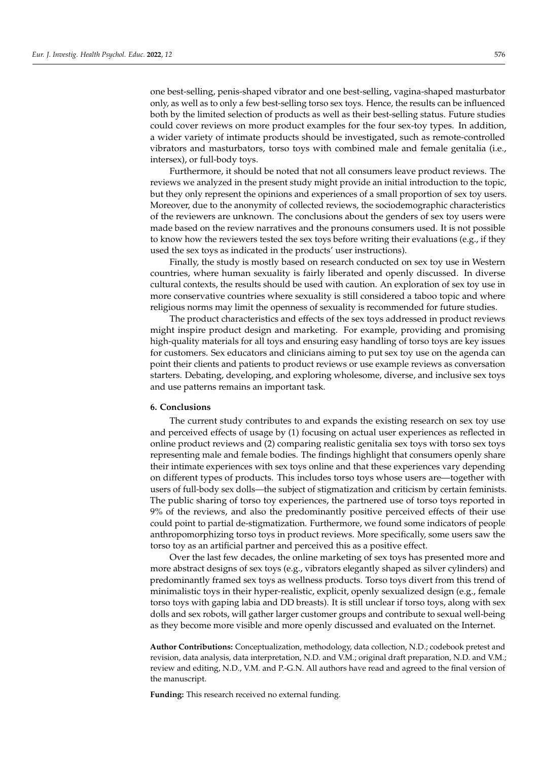one best-selling, penis-shaped vibrator and one best-selling, vagina-shaped masturbator only, as well as to only a few best-selling torso sex toys. Hence, the results can be influenced both by the limited selection of products as well as their best-selling status. Future studies could cover reviews on more product examples for the four sex-toy types. In addition, a wider variety of intimate products should be investigated, such as remote-controlled vibrators and masturbators, torso toys with combined male and female genitalia (i.e., intersex), or full-body toys.

Furthermore, it should be noted that not all consumers leave product reviews. The reviews we analyzed in the present study might provide an initial introduction to the topic, but they only represent the opinions and experiences of a small proportion of sex toy users. Moreover, due to the anonymity of collected reviews, the sociodemographic characteristics of the reviewers are unknown. The conclusions about the genders of sex toy users were made based on the review narratives and the pronouns consumers used. It is not possible to know how the reviewers tested the sex toys before writing their evaluations (e.g., if they used the sex toys as indicated in the products' user instructions).

Finally, the study is mostly based on research conducted on sex toy use in Western countries, where human sexuality is fairly liberated and openly discussed. In diverse cultural contexts, the results should be used with caution. An exploration of sex toy use in more conservative countries where sexuality is still considered a taboo topic and where religious norms may limit the openness of sexuality is recommended for future studies.

The product characteristics and effects of the sex toys addressed in product reviews might inspire product design and marketing. For example, providing and promising high-quality materials for all toys and ensuring easy handling of torso toys are key issues for customers. Sex educators and clinicians aiming to put sex toy use on the agenda can point their clients and patients to product reviews or use example reviews as conversation starters. Debating, developing, and exploring wholesome, diverse, and inclusive sex toys and use patterns remains an important task.

#### **6. Conclusions**

The current study contributes to and expands the existing research on sex toy use and perceived effects of usage by (1) focusing on actual user experiences as reflected in online product reviews and (2) comparing realistic genitalia sex toys with torso sex toys representing male and female bodies. The findings highlight that consumers openly share their intimate experiences with sex toys online and that these experiences vary depending on different types of products. This includes torso toys whose users are—together with users of full-body sex dolls—the subject of stigmatization and criticism by certain feminists. The public sharing of torso toy experiences, the partnered use of torso toys reported in 9% of the reviews, and also the predominantly positive perceived effects of their use could point to partial de-stigmatization. Furthermore, we found some indicators of people anthropomorphizing torso toys in product reviews. More specifically, some users saw the torso toy as an artificial partner and perceived this as a positive effect.

Over the last few decades, the online marketing of sex toys has presented more and more abstract designs of sex toys (e.g., vibrators elegantly shaped as silver cylinders) and predominantly framed sex toys as wellness products. Torso toys divert from this trend of minimalistic toys in their hyper-realistic, explicit, openly sexualized design (e.g., female torso toys with gaping labia and DD breasts). It is still unclear if torso toys, along with sex dolls and sex robots, will gather larger customer groups and contribute to sexual well-being as they become more visible and more openly discussed and evaluated on the Internet.

**Author Contributions:** Conceptualization, methodology, data collection, N.D.; codebook pretest and revision, data analysis, data interpretation, N.D. and V.M.; original draft preparation, N.D. and V.M.; review and editing, N.D., V.M. and P.-G.N. All authors have read and agreed to the final version of the manuscript.

**Funding:** This research received no external funding.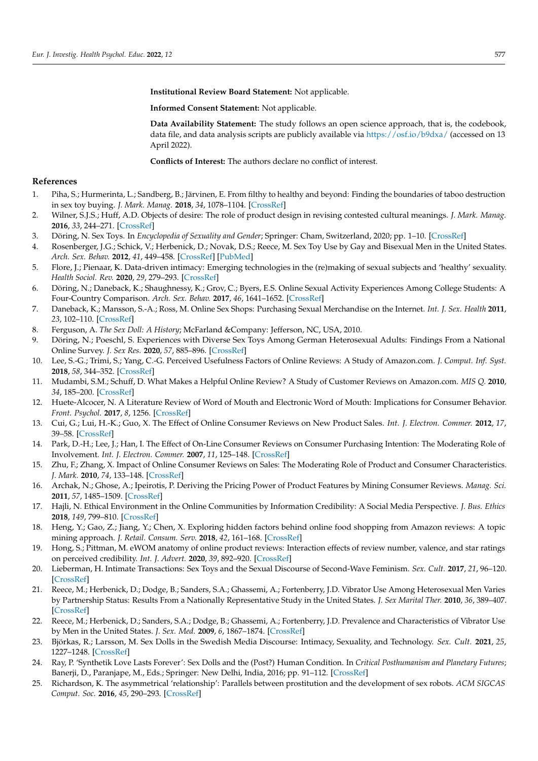**Institutional Review Board Statement:** Not applicable.

**Informed Consent Statement:** Not applicable.

**Data Availability Statement:** The study follows an open science approach, that is, the codebook, data file, and data analysis scripts are publicly available via <https://osf.io/b9dxa/> (accessed on 13 April 2022).

**Conflicts of Interest:** The authors declare no conflict of interest.

#### **References**

- <span id="page-14-0"></span>1. Piha, S.; Hurmerinta, L.; Sandberg, B.; Järvinen, E. From filthy to healthy and beyond: Finding the boundaries of taboo destruction in sex toy buying. *J. Mark. Manag.* **2018**, *34*, 1078–1104. [\[CrossRef\]](http://doi.org/10.1080/0267257X.2018.1496946)
- <span id="page-14-1"></span>2. Wilner, S.J.S.; Huff, A.D. Objects of desire: The role of product design in revising contested cultural meanings. *J. Mark. Manag.* **2016**, *33*, 244–271. [\[CrossRef\]](http://doi.org/10.1080/0267257X.2016.1240099)
- <span id="page-14-2"></span>3. Döring, N. Sex Toys. In *Encyclopedia of Sexuality and Gender*; Springer: Cham, Switzerland, 2020; pp. 1–10. [\[CrossRef\]](http://doi.org/10.1007/978-3-319-59531-3_62-1)
- <span id="page-14-3"></span>4. Rosenberger, J.G.; Schick, V.; Herbenick, D.; Novak, D.S.; Reece, M. Sex Toy Use by Gay and Bisexual Men in the United States. *Arch. Sex. Behav.* **2012**, *41*, 449–458. [\[CrossRef\]](http://doi.org/10.1007/s10508-010-9716-y) [\[PubMed\]](http://www.ncbi.nlm.nih.gov/pubmed/21203811)
- <span id="page-14-4"></span>5. Flore, J.; Pienaar, K. Data-driven intimacy: Emerging technologies in the (re)making of sexual subjects and 'healthy' sexuality. *Health Sociol. Rev.* **2020**, *29*, 279–293. [\[CrossRef\]](http://doi.org/10.1080/14461242.2020.1803101)
- <span id="page-14-5"></span>6. Döring, N.; Daneback, K.; Shaughnessy, K.; Grov, C.; Byers, E.S. Online Sexual Activity Experiences Among College Students: A Four-Country Comparison. *Arch. Sex. Behav.* **2017**, *46*, 1641–1652. [\[CrossRef\]](http://doi.org/10.1007/s10508-015-0656-4)
- <span id="page-14-6"></span>7. Daneback, K.; Mansson, S.-A.; Ross, M. Online Sex Shops: Purchasing Sexual Merchandise on the Internet. *Int. J. Sex. Health* **2011**, *23*, 102–110. [\[CrossRef\]](http://doi.org/10.1080/19317611.2011.565112)
- <span id="page-14-7"></span>8. Ferguson, A. *The Sex Doll: A History*; McFarland &Company: Jefferson, NC, USA, 2010.
- <span id="page-14-8"></span>9. Döring, N.; Poeschl, S. Experiences with Diverse Sex Toys Among German Heterosexual Adults: Findings From a National Online Survey. *J. Sex Res.* **2020**, *57*, 885–896. [\[CrossRef\]](http://doi.org/10.1080/00224499.2019.1578329)
- <span id="page-14-9"></span>10. Lee, S.-G.; Trimi, S.; Yang, C.-G. Perceived Usefulness Factors of Online Reviews: A Study of Amazon.com. *J. Comput. Inf. Syst.* **2018**, *58*, 344–352. [\[CrossRef\]](http://doi.org/10.1080/08874417.2016.1275954)
- <span id="page-14-10"></span>11. Mudambi, S.M.; Schuff, D. What Makes a Helpful Online Review? A Study of Customer Reviews on Amazon.com. *MIS Q.* **2010**, *34*, 185–200. [\[CrossRef\]](http://doi.org/10.2307/20721420)
- <span id="page-14-11"></span>12. Huete-Alcocer, N. A Literature Review of Word of Mouth and Electronic Word of Mouth: Implications for Consumer Behavior. *Front. Psychol.* **2017**, *8*, 1256. [\[CrossRef\]](http://doi.org/10.3389/fpsyg.2017.01256)
- <span id="page-14-12"></span>13. Cui, G.; Lui, H.-K.; Guo, X. The Effect of Online Consumer Reviews on New Product Sales. *Int. J. Electron. Commer.* **2012**, *17*, 39–58. [\[CrossRef\]](http://doi.org/10.2753/JEC1086-4415170102)
- 14. Park, D.-H.; Lee, J.; Han, I. The Effect of On-Line Consumer Reviews on Consumer Purchasing Intention: The Moderating Role of Involvement. *Int. J. Electron. Commer.* **2007**, *11*, 125–148. [\[CrossRef\]](http://doi.org/10.2753/JEC1086-4415110405)
- <span id="page-14-13"></span>15. Zhu, F.; Zhang, X. Impact of Online Consumer Reviews on Sales: The Moderating Role of Product and Consumer Characteristics. *J. Mark.* **2010**, *74*, 133–148. [\[CrossRef\]](http://doi.org/10.1509/jm.74.2.133)
- <span id="page-14-14"></span>16. Archak, N.; Ghose, A.; Ipeirotis, P. Deriving the Pricing Power of Product Features by Mining Consumer Reviews. *Manag. Sci.* **2011**, *57*, 1485–1509. [\[CrossRef\]](http://doi.org/10.1287/mnsc.1110.1370)
- <span id="page-14-15"></span>17. Hajli, N. Ethical Environment in the Online Communities by Information Credibility: A Social Media Perspective. *J. Bus. Ethics* **2018**, *149*, 799–810. [\[CrossRef\]](http://doi.org/10.1007/s10551-016-3036-7)
- <span id="page-14-16"></span>18. Heng, Y.; Gao, Z.; Jiang, Y.; Chen, X. Exploring hidden factors behind online food shopping from Amazon reviews: A topic mining approach. *J. Retail. Consum. Serv.* **2018**, *42*, 161–168. [\[CrossRef\]](http://doi.org/10.1016/j.jretconser.2018.02.006)
- <span id="page-14-17"></span>19. Hong, S.; Pittman, M. eWOM anatomy of online product reviews: Interaction effects of review number, valence, and star ratings on perceived credibility. *Int. J. Advert.* **2020**, *39*, 892–920. [\[CrossRef\]](http://doi.org/10.1080/02650487.2019.1703386)
- <span id="page-14-18"></span>20. Lieberman, H. Intimate Transactions: Sex Toys and the Sexual Discourse of Second-Wave Feminism. *Sex. Cult.* **2017**, *21*, 96–120. [\[CrossRef\]](http://doi.org/10.1007/s12119-016-9383-9)
- <span id="page-14-19"></span>21. Reece, M.; Herbenick, D.; Dodge, B.; Sanders, S.A.; Ghassemi, A.; Fortenberry, J.D. Vibrator Use Among Heterosexual Men Varies by Partnership Status: Results From a Nationally Representative Study in the United States. *J. Sex Marital Ther.* **2010**, *36*, 389–407. [\[CrossRef\]](http://doi.org/10.1080/0092623X.2010.510774)
- <span id="page-14-20"></span>22. Reece, M.; Herbenick, D.; Sanders, S.A.; Dodge, B.; Ghassemi, A.; Fortenberry, J.D. Prevalence and Characteristics of Vibrator Use by Men in the United States. *J. Sex. Med.* **2009**, *6*, 1867–1874. [\[CrossRef\]](http://doi.org/10.1111/j.1743-6109.2009.01290.x)
- <span id="page-14-21"></span>23. Björkas, R.; Larsson, M. Sex Dolls in the Swedish Media Discourse: Intimacy, Sexuality, and Technology. *Sex. Cult.* **2021**, *25*, 1227–1248. [\[CrossRef\]](http://doi.org/10.1007/s12119-021-09829-6)
- <span id="page-14-22"></span>24. Ray, P. 'Synthetik Love Lasts Forever': Sex Dolls and the (Post?) Human Condition. In *Critical Posthumanism and Planetary Futures*; Banerji, D., Paranjape, M., Eds.; Springer: New Delhi, India, 2016; pp. 91–112. [\[CrossRef\]](http://doi.org/10.1007/978-81-322-3637-5_6)
- <span id="page-14-23"></span>25. Richardson, K. The asymmetrical 'relationship': Parallels between prostitution and the development of sex robots. *ACM SIGCAS Comput. Soc.* **2016**, *45*, 290–293. [\[CrossRef\]](http://doi.org/10.1145/2874239.2874281)